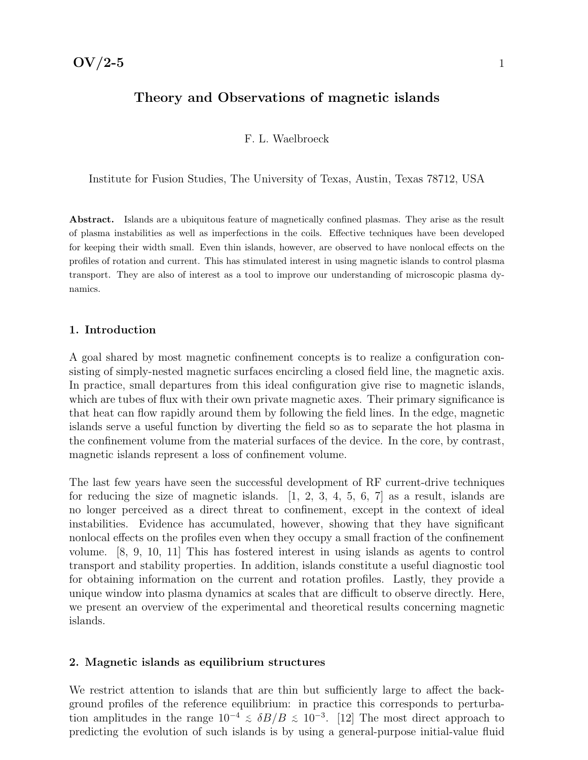### Theory and Observations of magnetic islands

F. L. Waelbroeck

Institute for Fusion Studies, The University of Texas, Austin, Texas 78712, USA

Abstract. Islands are a ubiquitous feature of magnetically confined plasmas. They arise as the result of plasma instabilities as well as imperfections in the coils. Effective techniques have been developed for keeping their width small. Even thin islands, however, are observed to have nonlocal effects on the profiles of rotation and current. This has stimulated interest in using magnetic islands to control plasma transport. They are also of interest as a tool to improve our understanding of microscopic plasma dynamics.

### 1. Introduction

A goal shared by most magnetic confinement concepts is to realize a configuration consisting of simply-nested magnetic surfaces encircling a closed field line, the magnetic axis. In practice, small departures from this ideal configuration give rise to magnetic islands, which are tubes of flux with their own private magnetic axes. Their primary significance is that heat can flow rapidly around them by following the field lines. In the edge, magnetic islands serve a useful function by diverting the field so as to separate the hot plasma in the confinement volume from the material surfaces of the device. In the core, by contrast, magnetic islands represent a loss of confinement volume.

The last few years have seen the successful development of RF current-drive techniques for reducing the size of magnetic islands. [1, 2, 3, 4, 5, 6, 7] as a result, islands are no longer perceived as a direct threat to confinement, except in the context of ideal instabilities. Evidence has accumulated, however, showing that they have significant nonlocal effects on the profiles even when they occupy a small fraction of the confinement volume. [8, 9, 10, 11] This has fostered interest in using islands as agents to control transport and stability properties. In addition, islands constitute a useful diagnostic tool for obtaining information on the current and rotation profiles. Lastly, they provide a unique window into plasma dynamics at scales that are difficult to observe directly. Here, we present an overview of the experimental and theoretical results concerning magnetic islands.

#### 2. Magnetic islands as equilibrium structures

We restrict attention to islands that are thin but sufficiently large to affect the background profiles of the reference equilibrium: in practice this corresponds to perturbation amplitudes in the range  $10^{-4} \leq \delta B/B \leq 10^{-3}$ . [12] The most direct approach to predicting the evolution of such islands is by using a general-purpose initial-value fluid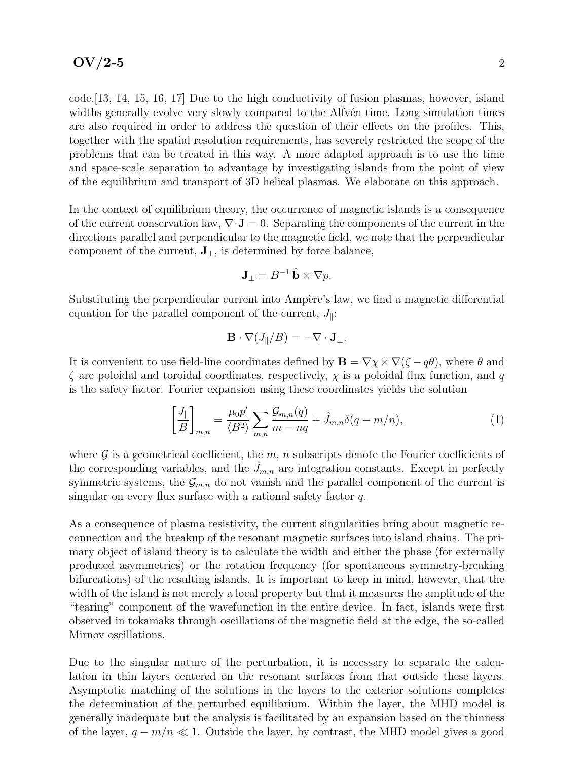code.[13, 14, 15, 16, 17] Due to the high conductivity of fusion plasmas, however, island widths generally evolve very slowly compared to the Alfv $\acute{e}$ n time. Long simulation times are also required in order to address the question of their effects on the profiles. This, together with the spatial resolution requirements, has severely restricted the scope of the problems that can be treated in this way. A more adapted approach is to use the time and space-scale separation to advantage by investigating islands from the point of view of the equilibrium and transport of 3D helical plasmas. We elaborate on this approach.

In the context of equilibrium theory, the occurrence of magnetic islands is a consequence of the current conservation law,  $\nabla \cdot \mathbf{J} = 0$ . Separating the components of the current in the directions parallel and perpendicular to the magnetic field, we note that the perpendicular component of the current,  $J_{\perp}$ , is determined by force balance,

$$
\mathbf{J}_{\perp} = B^{-1} \hat{\mathbf{b}} \times \nabla p.
$$

Substituting the perpendicular current into Ampère's law, we find a magnetic differential equation for the parallel component of the current,  $J_{\parallel}$ :

$$
\mathbf{B} \cdot \nabla (J_{\parallel}/B) = -\nabla \cdot \mathbf{J}_{\perp}.
$$

It is convenient to use field-line coordinates defined by  $\mathbf{B} = \nabla \chi \times \nabla (\zeta - q\theta)$ , where  $\theta$  and  $\zeta$  are poloidal and toroidal coordinates, respectively,  $\chi$  is a poloidal flux function, and q is the safety factor. Fourier expansion using these coordinates yields the solution

$$
\left[\frac{J_{\parallel}}{B}\right]_{m,n} = \frac{\mu_0 p'}{\langle B^2 \rangle} \sum_{m,n} \frac{\mathcal{G}_{m,n}(q)}{m-nq} + \hat{J}_{m,n} \delta(q-m/n),\tag{1}
$$

where  $\mathcal G$  is a geometrical coefficient, the m, n subscripts denote the Fourier coefficients of the corresponding variables, and the  $J_{m,n}$  are integration constants. Except in perfectly symmetric systems, the  $\mathcal{G}_{m,n}$  do not vanish and the parallel component of the current is singular on every flux surface with a rational safety factor q.

As a consequence of plasma resistivity, the current singularities bring about magnetic reconnection and the breakup of the resonant magnetic surfaces into island chains. The primary object of island theory is to calculate the width and either the phase (for externally produced asymmetries) or the rotation frequency (for spontaneous symmetry-breaking bifurcations) of the resulting islands. It is important to keep in mind, however, that the width of the island is not merely a local property but that it measures the amplitude of the "tearing" component of the wavefunction in the entire device. In fact, islands were first observed in tokamaks through oscillations of the magnetic field at the edge, the so-called Mirnov oscillations.

Due to the singular nature of the perturbation, it is necessary to separate the calculation in thin layers centered on the resonant surfaces from that outside these layers. Asymptotic matching of the solutions in the layers to the exterior solutions completes the determination of the perturbed equilibrium. Within the layer, the MHD model is generally inadequate but the analysis is facilitated by an expansion based on the thinness of the layer,  $q - m/n \ll 1$ . Outside the layer, by contrast, the MHD model gives a good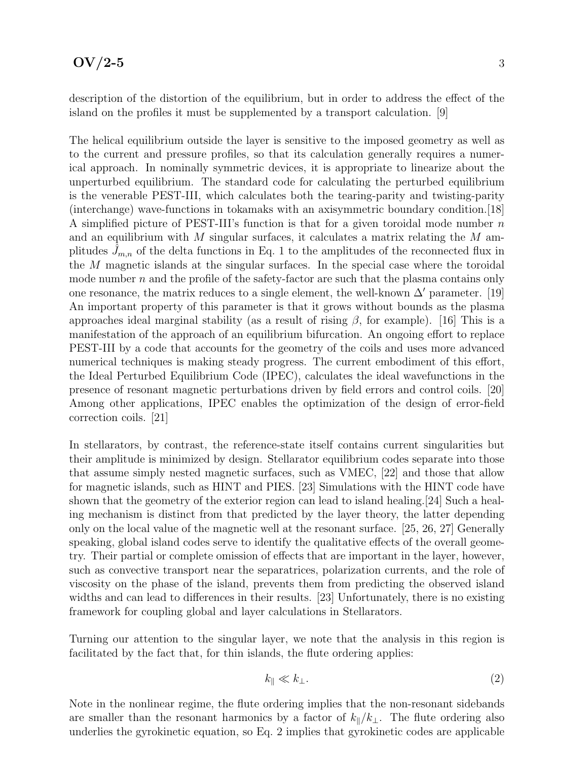description of the distortion of the equilibrium, but in order to address the effect of the island on the profiles it must be supplemented by a transport calculation. [9]

The helical equilibrium outside the layer is sensitive to the imposed geometry as well as to the current and pressure profiles, so that its calculation generally requires a numerical approach. In nominally symmetric devices, it is appropriate to linearize about the unperturbed equilibrium. The standard code for calculating the perturbed equilibrium is the venerable PEST-III, which calculates both the tearing-parity and twisting-parity (interchange) wave-functions in tokamaks with an axisymmetric boundary condition.[18] A simplified picture of PEST-III's function is that for a given toroidal mode number  $n$ and an equilibrium with  $M$  singular surfaces, it calculates a matrix relating the  $M$  amplitudes  $J_{m,n}$  of the delta functions in Eq. 1 to the amplitudes of the reconnected flux in the M magnetic islands at the singular surfaces. In the special case where the toroidal mode number  $n$  and the profile of the safety-factor are such that the plasma contains only one resonance, the matrix reduces to a single element, the well-known  $\Delta'$  parameter. [19] An important property of this parameter is that it grows without bounds as the plasma approaches ideal marginal stability (as a result of rising  $β$ , for example). [16] This is a manifestation of the approach of an equilibrium bifurcation. An ongoing effort to replace PEST-III by a code that accounts for the geometry of the coils and uses more advanced numerical techniques is making steady progress. The current embodiment of this effort, the Ideal Perturbed Equilibrium Code (IPEC), calculates the ideal wavefunctions in the presence of resonant magnetic perturbations driven by field errors and control coils. [20] Among other applications, IPEC enables the optimization of the design of error-field correction coils. [21]

In stellarators, by contrast, the reference-state itself contains current singularities but their amplitude is minimized by design. Stellarator equilibrium codes separate into those that assume simply nested magnetic surfaces, such as VMEC, [22] and those that allow for magnetic islands, such as HINT and PIES. [23] Simulations with the HINT code have shown that the geometry of the exterior region can lead to island healing.[24] Such a healing mechanism is distinct from that predicted by the layer theory, the latter depending only on the local value of the magnetic well at the resonant surface. [25, 26, 27] Generally speaking, global island codes serve to identify the qualitative effects of the overall geometry. Their partial or complete omission of effects that are important in the layer, however, such as convective transport near the separatrices, polarization currents, and the role of viscosity on the phase of the island, prevents them from predicting the observed island widths and can lead to differences in their results. [23] Unfortunately, there is no existing framework for coupling global and layer calculations in Stellarators.

Turning our attention to the singular layer, we note that the analysis in this region is facilitated by the fact that, for thin islands, the flute ordering applies:

$$
k_{\parallel} \ll k_{\perp}.\tag{2}
$$

Note in the nonlinear regime, the flute ordering implies that the non-resonant sidebands are smaller than the resonant harmonics by a factor of  $k_{\parallel}/k_{\perp}$ . The flute ordering also underlies the gyrokinetic equation, so Eq. 2 implies that gyrokinetic codes are applicable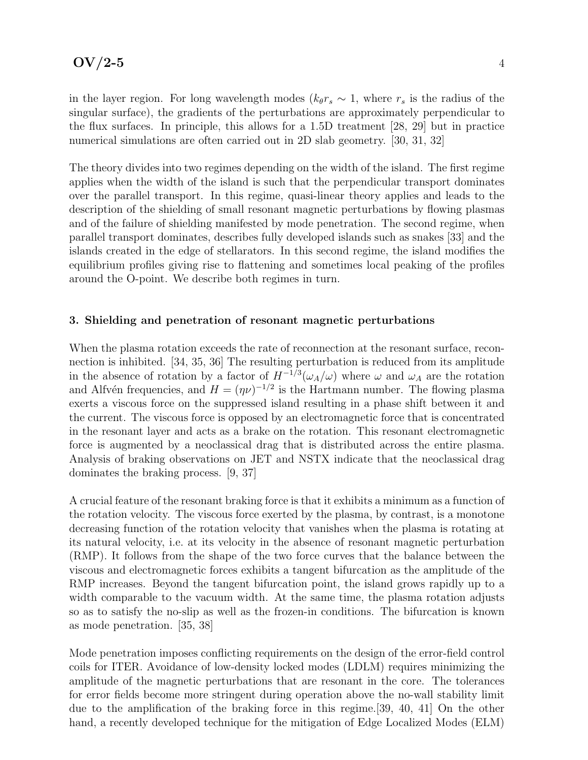in the layer region. For long wavelength modes ( $k_{\theta}r_s \sim 1$ , where  $r_s$  is the radius of the singular surface), the gradients of the perturbations are approximately perpendicular to the flux surfaces. In principle, this allows for a 1.5D treatment [28, 29] but in practice numerical simulations are often carried out in 2D slab geometry. [30, 31, 32]

The theory divides into two regimes depending on the width of the island. The first regime applies when the width of the island is such that the perpendicular transport dominates over the parallel transport. In this regime, quasi-linear theory applies and leads to the description of the shielding of small resonant magnetic perturbations by flowing plasmas and of the failure of shielding manifested by mode penetration. The second regime, when parallel transport dominates, describes fully developed islands such as snakes [33] and the islands created in the edge of stellarators. In this second regime, the island modifies the equilibrium profiles giving rise to flattening and sometimes local peaking of the profiles around the O-point. We describe both regimes in turn.

### 3. Shielding and penetration of resonant magnetic perturbations

When the plasma rotation exceeds the rate of reconnection at the resonant surface, reconnection is inhibited. [34, 35, 36] The resulting perturbation is reduced from its amplitude in the absence of rotation by a factor of  $H^{-1/3}(\omega_A/\omega)$  where  $\omega$  and  $\omega_A$  are the rotation and Alfvén frequencies, and  $H = (\eta \nu)^{-1/2}$  is the Hartmann number. The flowing plasma exerts a viscous force on the suppressed island resulting in a phase shift between it and the current. The viscous force is opposed by an electromagnetic force that is concentrated in the resonant layer and acts as a brake on the rotation. This resonant electromagnetic force is augmented by a neoclassical drag that is distributed across the entire plasma. Analysis of braking observations on JET and NSTX indicate that the neoclassical drag dominates the braking process. [9, 37]

A crucial feature of the resonant braking force is that it exhibits a minimum as a function of the rotation velocity. The viscous force exerted by the plasma, by contrast, is a monotone decreasing function of the rotation velocity that vanishes when the plasma is rotating at its natural velocity, i.e. at its velocity in the absence of resonant magnetic perturbation (RMP). It follows from the shape of the two force curves that the balance between the viscous and electromagnetic forces exhibits a tangent bifurcation as the amplitude of the RMP increases. Beyond the tangent bifurcation point, the island grows rapidly up to a width comparable to the vacuum width. At the same time, the plasma rotation adjusts so as to satisfy the no-slip as well as the frozen-in conditions. The bifurcation is known as mode penetration. [35, 38]

Mode penetration imposes conflicting requirements on the design of the error-field control coils for ITER. Avoidance of low-density locked modes (LDLM) requires minimizing the amplitude of the magnetic perturbations that are resonant in the core. The tolerances for error fields become more stringent during operation above the no-wall stability limit due to the amplification of the braking force in this regime.[39, 40, 41] On the other hand, a recently developed technique for the mitigation of Edge Localized Modes (ELM)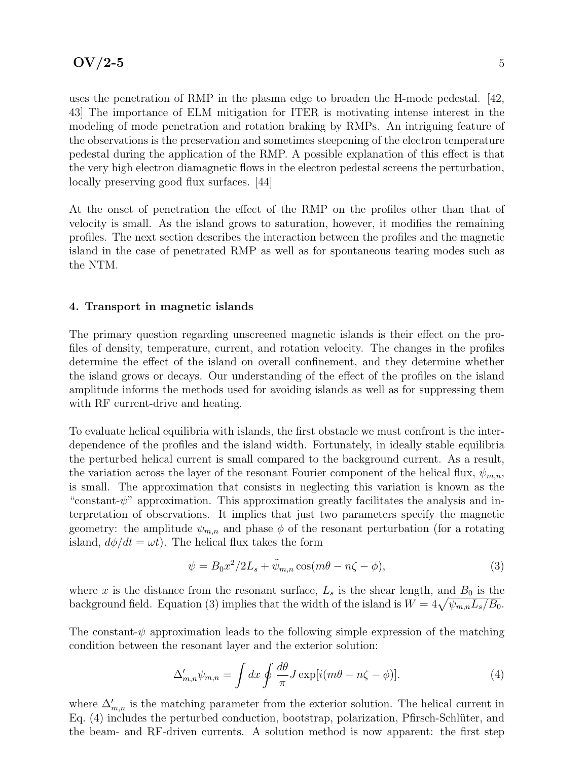uses the penetration of RMP in the plasma edge to broaden the H-mode pedestal. [42, 43] The importance of ELM mitigation for ITER is motivating intense interest in the modeling of mode penetration and rotation braking by RMPs. An intriguing feature of the observations is the preservation and sometimes steepening of the electron temperature pedestal during the application of the RMP. A possible explanation of this effect is that the very high electron diamagnetic flows in the electron pedestal screens the perturbation, locally preserving good flux surfaces. [44]

At the onset of penetration the effect of the RMP on the profiles other than that of velocity is small. As the island grows to saturation, however, it modifies the remaining profiles. The next section describes the interaction between the profiles and the magnetic island in the case of penetrated RMP as well as for spontaneous tearing modes such as the NTM.

### 4. Transport in magnetic islands

The primary question regarding unscreened magnetic islands is their effect on the profiles of density, temperature, current, and rotation velocity. The changes in the profiles determine the effect of the island on overall confinement, and they determine whether the island grows or decays. Our understanding of the effect of the profiles on the island amplitude informs the methods used for avoiding islands as well as for suppressing them with RF current-drive and heating.

To evaluate helical equilibria with islands, the first obstacle we must confront is the interdependence of the profiles and the island width. Fortunately, in ideally stable equilibria the perturbed helical current is small compared to the background current. As a result, the variation across the layer of the resonant Fourier component of the helical flux,  $\psi_{m,n}$ , is small. The approximation that consists in neglecting this variation is known as the "constant- $\psi$ " approximation. This approximation greatly facilitates the analysis and interpretation of observations. It implies that just two parameters specify the magnetic geometry: the amplitude  $\psi_{m,n}$  and phase  $\phi$  of the resonant perturbation (for a rotating island,  $d\phi/dt = \omega t$ . The helical flux takes the form

$$
\psi = B_0 x^2 / 2L_s + \tilde{\psi}_{m,n} \cos(m\theta - n\zeta - \phi),\tag{3}
$$

where x is the distance from the resonant surface,  $L_s$  is the shear length, and  $B_0$  is the background field. Equation (3) implies that the width of the island is  $W = 4\sqrt{\psi_{m,n}L_s/B_0}$ .

The constant- $\psi$  approximation leads to the following simple expression of the matching condition between the resonant layer and the exterior solution:

$$
\Delta'_{m,n}\psi_{m,n} = \int dx \oint \frac{d\theta}{\pi} J \exp[i(m\theta - n\zeta - \phi)]. \tag{4}
$$

where  $\Delta'_{m,n}$  is the matching parameter from the exterior solution. The helical current in Eq. (4) includes the perturbed conduction, bootstrap, polarization, Pfirsch-Schlüter, and the beam- and RF-driven currents. A solution method is now apparent: the first step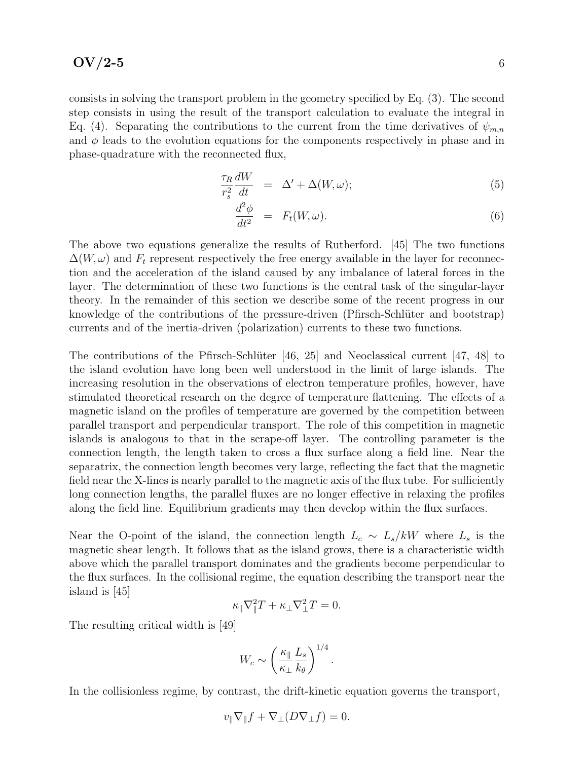consists in solving the transport problem in the geometry specified by Eq. (3). The second step consists in using the result of the transport calculation to evaluate the integral in Eq. (4). Separating the contributions to the current from the time derivatives of  $\psi_{m,n}$ and  $\phi$  leads to the evolution equations for the components respectively in phase and in phase-quadrature with the reconnected flux,

$$
\frac{\tau_R}{r_s^2} \frac{dW}{dt} = \Delta' + \Delta(W, \omega); \tag{5}
$$

$$
\frac{d^2\phi}{dt^2} = F_t(W,\omega). \tag{6}
$$

The above two equations generalize the results of Rutherford. [45] The two functions  $\Delta(W, \omega)$  and  $F_t$  represent respectively the free energy available in the layer for reconnection and the acceleration of the island caused by any imbalance of lateral forces in the layer. The determination of these two functions is the central task of the singular-layer theory. In the remainder of this section we describe some of the recent progress in our knowledge of the contributions of the pressure-driven (Pfirsch-Schlüter and bootstrap) currents and of the inertia-driven (polarization) currents to these two functions.

The contributions of the Pfirsch-Schlüter [46, 25] and Neoclassical current [47, 48] to the island evolution have long been well understood in the limit of large islands. The increasing resolution in the observations of electron temperature profiles, however, have stimulated theoretical research on the degree of temperature flattening. The effects of a magnetic island on the profiles of temperature are governed by the competition between parallel transport and perpendicular transport. The role of this competition in magnetic islands is analogous to that in the scrape-off layer. The controlling parameter is the connection length, the length taken to cross a flux surface along a field line. Near the separatrix, the connection length becomes very large, reflecting the fact that the magnetic field near the X-lines is nearly parallel to the magnetic axis of the flux tube. For sufficiently long connection lengths, the parallel fluxes are no longer effective in relaxing the profiles along the field line. Equilibrium gradients may then develop within the flux surfaces.

Near the O-point of the island, the connection length  $L_c \sim L_s/kW$  where  $L_s$  is the magnetic shear length. It follows that as the island grows, there is a characteristic width above which the parallel transport dominates and the gradients become perpendicular to the flux surfaces. In the collisional regime, the equation describing the transport near the island is [45]

$$
\kappa_{\parallel} \nabla_{\parallel}^2 T + \kappa_{\perp} \nabla_{\perp}^2 T = 0.
$$

The resulting critical width is [49]

$$
W_c \sim \left(\frac{\kappa_{\parallel}}{\kappa_{\perp}} \frac{L_s}{k_{\theta}}\right)^{1/4}.
$$

In the collisionless regime, by contrast, the drift-kinetic equation governs the transport,

$$
v_{\parallel} \nabla_{\parallel} f + \nabla_{\perp} (D \nabla_{\perp} f) = 0.
$$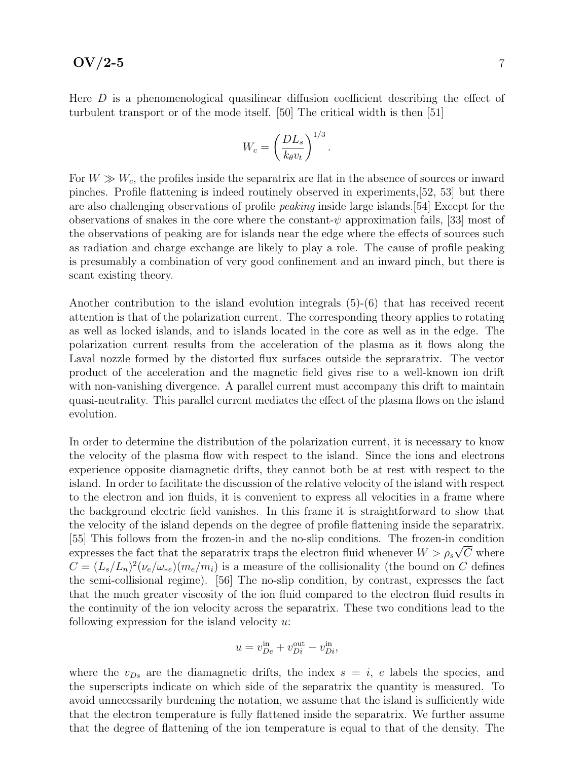### $\rm{OV}/2$ -5 7

Here  $D$  is a phenomenological quasilinear diffusion coefficient describing the effect of turbulent transport or of the mode itself. [50] The critical width is then [51]

$$
W_c = \left(\frac{DL_s}{k_{\theta}v_t}\right)^{1/3}.
$$

For  $W \gg W_c$ , the profiles inside the separatrix are flat in the absence of sources or inward pinches. Profile flattening is indeed routinely observed in experiments,[52, 53] but there are also challenging observations of profile peaking inside large islands.[54] Except for the observations of snakes in the core where the constant- $\psi$  approximation fails, [33] most of the observations of peaking are for islands near the edge where the effects of sources such as radiation and charge exchange are likely to play a role. The cause of profile peaking is presumably a combination of very good confinement and an inward pinch, but there is scant existing theory.

Another contribution to the island evolution integrals (5)-(6) that has received recent attention is that of the polarization current. The corresponding theory applies to rotating as well as locked islands, and to islands located in the core as well as in the edge. The polarization current results from the acceleration of the plasma as it flows along the Laval nozzle formed by the distorted flux surfaces outside the sepraratrix. The vector product of the acceleration and the magnetic field gives rise to a well-known ion drift with non-vanishing divergence. A parallel current must accompany this drift to maintain quasi-neutrality. This parallel current mediates the effect of the plasma flows on the island evolution.

In order to determine the distribution of the polarization current, it is necessary to know the velocity of the plasma flow with respect to the island. Since the ions and electrons experience opposite diamagnetic drifts, they cannot both be at rest with respect to the island. In order to facilitate the discussion of the relative velocity of the island with respect to the electron and ion fluids, it is convenient to express all velocities in a frame where the background electric field vanishes. In this frame it is straightforward to show that the velocity of the island depends on the degree of profile flattening inside the separatrix. [55] This follows from the frozen-in and the no-slip conditions. The frozen-in condition expresses the fact that the separatrix traps the electron fluid whenever  $W > \rho_s \sqrt{C}$  where  $C = (L_s/L_n)^2(\nu_e/\omega_{*e})(m_e/m_i)$  is a measure of the collisionality (the bound on C defines the semi-collisional regime). [56] The no-slip condition, by contrast, expresses the fact that the much greater viscosity of the ion fluid compared to the electron fluid results in the continuity of the ion velocity across the separatrix. These two conditions lead to the following expression for the island velocity  $u$ :

$$
u = v_{De}^{\text{in}} + v_{Di}^{\text{out}} - v_{Di}^{\text{in}},
$$

where the  $v_{Ds}$  are the diamagnetic drifts, the index  $s = i$ , e labels the species, and the superscripts indicate on which side of the separatrix the quantity is measured. To avoid unnecessarily burdening the notation, we assume that the island is sufficiently wide that the electron temperature is fully flattened inside the separatrix. We further assume that the degree of flattening of the ion temperature is equal to that of the density. The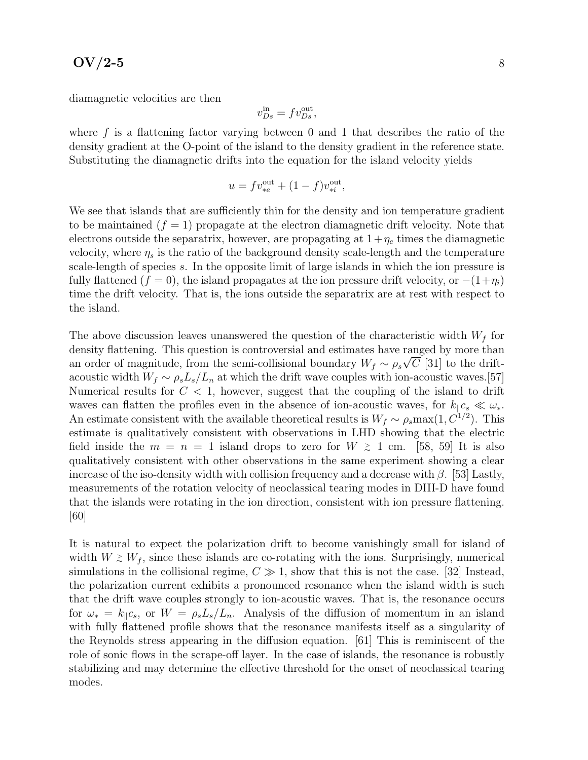diamagnetic velocities are then

$$
v_{Ds}^{\text{in}} = f v_{Ds}^{\text{out}},
$$

where  $f$  is a flattening factor varying between 0 and 1 that describes the ratio of the density gradient at the O-point of the island to the density gradient in the reference state. Substituting the diamagnetic drifts into the equation for the island velocity yields

$$
u = f v_{*e}^{\text{out}} + (1 - f) v_{*i}^{\text{out}},
$$

We see that islands that are sufficiently thin for the density and ion temperature gradient to be maintained  $(f = 1)$  propagate at the electron diamagnetic drift velocity. Note that electrons outside the separatrix, however, are propagating at  $1+\eta_e$  times the diamagnetic velocity, where  $\eta_s$  is the ratio of the background density scale-length and the temperature scale-length of species s. In the opposite limit of large islands in which the ion pressure is fully flattened (f = 0), the island propagates at the ion pressure drift velocity, or  $-(1+\eta_i)$ time the drift velocity. That is, the ions outside the separatrix are at rest with respect to the island.

The above discussion leaves unanswered the question of the characteristic width  $W_f$  for density flattening. This question is controversial and estimates have ranged by more than an order of magnitude, from the semi-collisional boundary  $W_f \sim \rho_s \sqrt{C}$  [31] to the driftacoustic width  $W_f \sim \rho_s L_s/L_n$  at which the drift wave couples with ion-acoustic waves.[57] Numerical results for  $C < 1$ , however, suggest that the coupling of the island to drift waves can flatten the profiles even in the absence of ion-acoustic waves, for  $k_{\parallel}c_{s} \ll \omega_{*}$ . An estimate consistent with the available theoretical results is  $W_f \sim \rho_s \text{max}(1, C^{1/2})$ . This estimate is qualitatively consistent with observations in LHD showing that the electric field inside the  $m = n = 1$  island drops to zero for  $W \ge 1$  cm. [58, 59] It is also qualitatively consistent with other observations in the same experiment showing a clear increase of the iso-density width with collision frequency and a decrease with  $\beta$ . [53] Lastly, measurements of the rotation velocity of neoclassical tearing modes in DIII-D have found that the islands were rotating in the ion direction, consistent with ion pressure flattening. [60]

It is natural to expect the polarization drift to become vanishingly small for island of width  $W \geq W_f$ , since these islands are co-rotating with the ions. Surprisingly, numerical simulations in the collisional regime,  $C \gg 1$ , show that this is not the case. [32] Instead, the polarization current exhibits a pronounced resonance when the island width is such that the drift wave couples strongly to ion-acoustic waves. That is, the resonance occurs for  $\omega_* = k_{\parallel}c_s$ , or  $W = \rho_s L_s/L_n$ . Analysis of the diffusion of momentum in an island with fully flattened profile shows that the resonance manifests itself as a singularity of the Reynolds stress appearing in the diffusion equation. [61] This is reminiscent of the role of sonic flows in the scrape-off layer. In the case of islands, the resonance is robustly stabilizing and may determine the effective threshold for the onset of neoclassical tearing modes.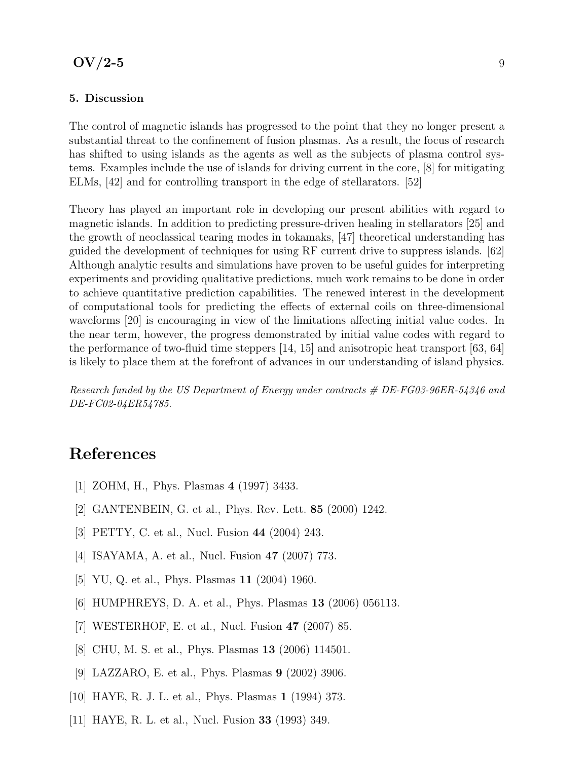### 5. Discussion

The control of magnetic islands has progressed to the point that they no longer present a substantial threat to the confinement of fusion plasmas. As a result, the focus of research has shifted to using islands as the agents as well as the subjects of plasma control systems. Examples include the use of islands for driving current in the core, [8] for mitigating ELMs, [42] and for controlling transport in the edge of stellarators. [52]

Theory has played an important role in developing our present abilities with regard to magnetic islands. In addition to predicting pressure-driven healing in stellarators [25] and the growth of neoclassical tearing modes in tokamaks, [47] theoretical understanding has guided the development of techniques for using RF current drive to suppress islands. [62] Although analytic results and simulations have proven to be useful guides for interpreting experiments and providing qualitative predictions, much work remains to be done in order to achieve quantitative prediction capabilities. The renewed interest in the development of computational tools for predicting the effects of external coils on three-dimensional waveforms [20] is encouraging in view of the limitations affecting initial value codes. In the near term, however, the progress demonstrated by initial value codes with regard to the performance of two-fluid time steppers [14, 15] and anisotropic heat transport [63, 64] is likely to place them at the forefront of advances in our understanding of island physics.

Research funded by the US Department of Energy under contracts # DE-FG03-96ER-54346 and DE-FC02-04ER54785.

# References

- [1] ZOHM, H., Phys. Plasmas 4 (1997) 3433.
- [2] GANTENBEIN, G. et al., Phys. Rev. Lett. 85 (2000) 1242.
- [3] PETTY, C. et al., Nucl. Fusion 44 (2004) 243.
- [4] ISAYAMA, A. et al., Nucl. Fusion 47 (2007) 773.
- [5] YU, Q. et al., Phys. Plasmas **11** (2004) 1960.
- [6] HUMPHREYS, D. A. et al., Phys. Plasmas 13 (2006) 056113.
- [7] WESTERHOF, E. et al., Nucl. Fusion 47 (2007) 85.
- [8] CHU, M. S. et al., Phys. Plasmas 13 (2006) 114501.
- [9] LAZZARO, E. et al., Phys. Plasmas 9 (2002) 3906.
- [10] HAYE, R. J. L. et al., Phys. Plasmas 1 (1994) 373.
- [11] HAYE, R. L. et al., Nucl. Fusion 33 (1993) 349.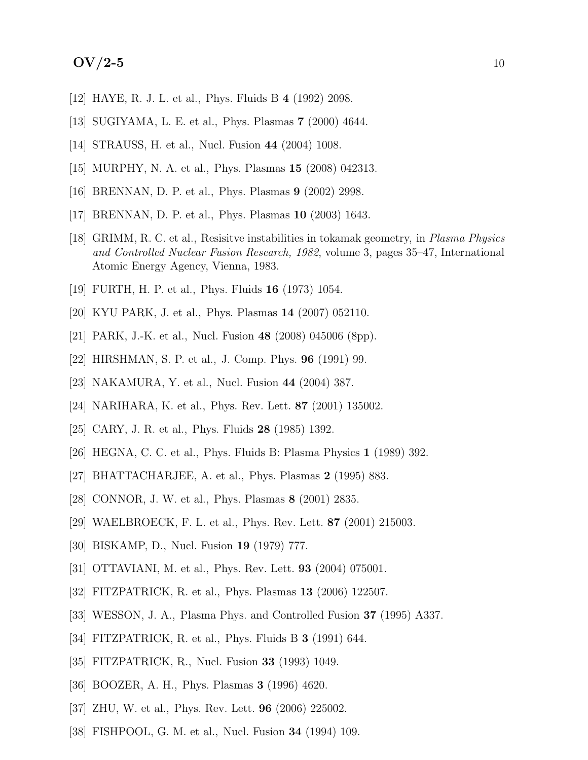# $\rm{OV}/2$ -5 10

- [12] HAYE, R. J. L. et al., Phys. Fluids B 4 (1992) 2098.
- [13] SUGIYAMA, L. E. et al., Phys. Plasmas 7 (2000) 4644.
- [14] STRAUSS, H. et al., Nucl. Fusion 44 (2004) 1008.
- [15] MURPHY, N. A. et al., Phys. Plasmas 15 (2008) 042313.
- [16] BRENNAN, D. P. et al., Phys. Plasmas 9 (2002) 2998.
- [17] BRENNAN, D. P. et al., Phys. Plasmas 10 (2003) 1643.
- [18] GRIMM, R. C. et al., Resisitve instabilities in tokamak geometry, in Plasma Physics and Controlled Nuclear Fusion Research, 1982, volume 3, pages 35–47, International Atomic Energy Agency, Vienna, 1983.
- [19] FURTH, H. P. et al., Phys. Fluids 16 (1973) 1054.
- [20] KYU PARK, J. et al., Phys. Plasmas 14 (2007) 052110.
- [21] PARK, J.-K. et al., Nucl. Fusion 48 (2008) 045006 (8pp).
- [22] HIRSHMAN, S. P. et al., J. Comp. Phys. 96 (1991) 99.
- [23] NAKAMURA, Y. et al., Nucl. Fusion 44 (2004) 387.
- [24] NARIHARA, K. et al., Phys. Rev. Lett. 87 (2001) 135002.
- [25] CARY, J. R. et al., Phys. Fluids 28 (1985) 1392.
- [26] HEGNA, C. C. et al., Phys. Fluids B: Plasma Physics 1 (1989) 392.
- [27] BHATTACHARJEE, A. et al., Phys. Plasmas 2 (1995) 883.
- [28] CONNOR, J. W. et al., Phys. Plasmas 8 (2001) 2835.
- [29] WAELBROECK, F. L. et al., Phys. Rev. Lett. 87 (2001) 215003.
- [30] BISKAMP, D., Nucl. Fusion 19 (1979) 777.
- [31] OTTAVIANI, M. et al., Phys. Rev. Lett. 93 (2004) 075001.
- [32] FITZPATRICK, R. et al., Phys. Plasmas 13 (2006) 122507.
- [33] WESSON, J. A., Plasma Phys. and Controlled Fusion 37 (1995) A337.
- [34] FITZPATRICK, R. et al., Phys. Fluids B 3 (1991) 644.
- [35] FITZPATRICK, R., Nucl. Fusion 33 (1993) 1049.
- [36] BOOZER, A. H., Phys. Plasmas 3 (1996) 4620.
- [37] ZHU, W. et al., Phys. Rev. Lett. 96 (2006) 225002.
- [38] FISHPOOL, G. M. et al., Nucl. Fusion 34 (1994) 109.